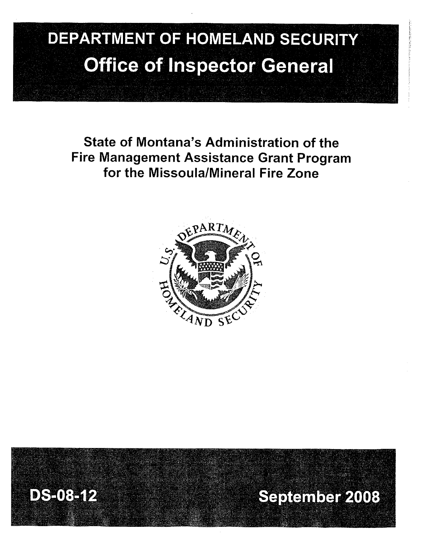# DEPARTMENT OF HOMELAND SECURITY **Office of Inspector General**

# State of Montana's Administration of the Fire Management Assistance Grant Program for the Missoula/Mineral Fire Zone





# September 2008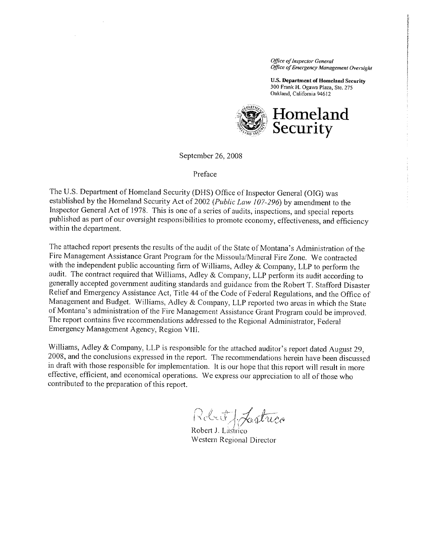Office of Inspector General Office of Emergency Management Oversight

U.S. Department of Homeland Security 300 Frank H. Ogawa Plaza, Ste. 275 Oakland, California 94612



September 26, 2008

Preface

The U.S. Department of Homeland Security (DHS) Office of Inspector General (OIG) was established by the Homeland Security Act of 2002 (Public Law 107-296) by amendment to the Inspector General Act of 1978. This is one of a series of audits, inspections, and special reports published as part of our oversight responsibilities to promote economy, effectiveness, and efficiency within the department.

The attached report presents the results of the audit of the State of Montana's Administration of the Fire Management Assistance Grant Program tòr the Missoula/Mineral Fire Zone. We contracted with the independent public accounting firm of Williams, Adley & Company, LLP to perform the audit. The contract required that Williams, Adley & Company, LLP perform its audit according to generally accepted government auditing standards and guidance from the Robert T. Stafford Disaster Relief and Emergency Assistance Act, Title 44 of the Code of Federal Regulations, and the Office of Management and Budget. Williams, Adley & Company, LLP reported two areas in which the State of Montana's administration of the Fire Management Assistance Grant Program could be improved. The report contains five recommendations addressed to the Regional Administrator, Federal Emergency Management Agency, Region VIII.

Williams, Adley & Company, LLP is responsible for the attached auditor's report dated August 29, 2008, and the conclusions expressed in the report. The recommendations herein have been discussed in draft with those responsible for implementation. It is our hope that this report will result in more effective, efficient, and economical operations. We express our appreciation to all of those who contributed to the preparation of this report.

 $( \ )$   $j$  and  $j$   $k$  $1^\circ$  clair  $1/\sim$  of theo.

Robert J. Lastrico Westem Regional Director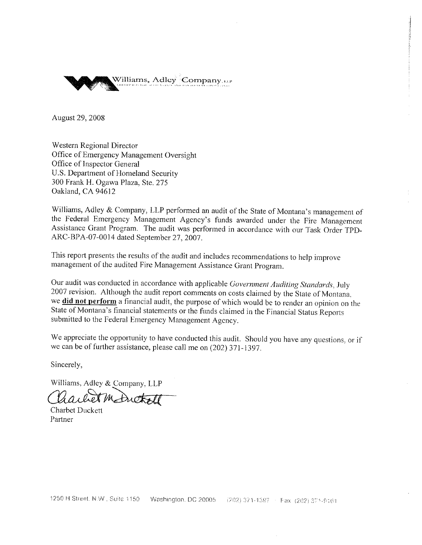

August 29,2008

Western Regional Director Office of Emergency Management Oversight Office of Inspector General U.S. Department of Homeland Security 300 Frank H. Ogawa Plaza, Ste. 275 Oakland, CA 94612

Williams, Adley & Company, LLP performed an audit of the State of Montana's management of the Federal Emergency Management Agency's funds awarded under the Fire Management Assistance Grant Program. The audit was performed in accordance with our Task Order TPD-ARC-BPA-07-0014 dated September 27,2007.

This report presents the results of the audit and includes recommendations to help improve management of ihe audited Fire Management Assistance Grant Program.

Our audit was conducted in accordance with applicable Government Auditing Standards, July 2007 revision. Although the audit report comments on costs claimed by the State of Montana, we **did not perform** a financial audit, the purpose of which would be to render an opinion on the State of Montana's financial statements or the funds claimed in the Financial Status Reports submitted to the federal Emergency Management Agency.

We appreciate the opportunity to have conducted this audit. Should you have any questions, or if we can be of further assistance, please call me on (202) 371-1397.

Sincerely,

Williams, Adley & Company, LLP

het montrell

Charbet Duckett Partner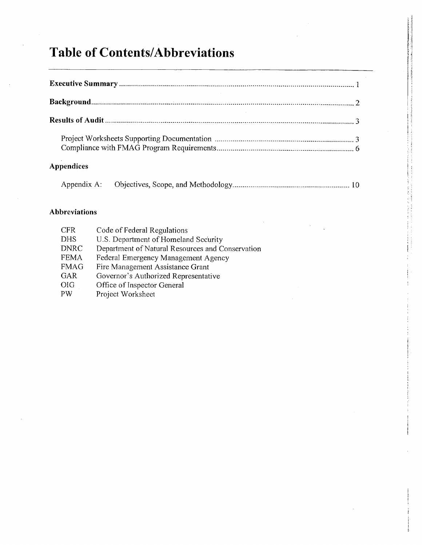# Table of Contents/Abbreviations

| the contract of the contract of the contract of the contract of the contract of |  |
|---------------------------------------------------------------------------------|--|
|                                                                                 |  |
| <b>Appendices</b>                                                               |  |
|                                                                                 |  |
| Ahhuoniotione                                                                   |  |

 $\sim$   $\sim$ 

#### Abbreviations

| <b>CFR</b>  | Code of Federal Regulations                      |
|-------------|--------------------------------------------------|
| <b>DHS</b>  | U.S. Department of Homeland Security             |
| <b>DNRC</b> | Department of Natural Resources and Conservation |
| <b>FEMA</b> | Federal Emergency Management Agency              |
| <b>FMAG</b> | Fire Management Assistance Grant                 |
| GAR         | Governor's Authorized Representative             |
| <b>OIG</b>  | Office of Inspector General                      |
| PW          | Project Worksheet                                |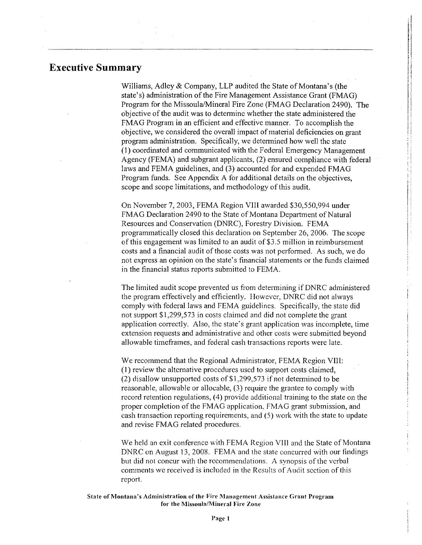# Executive Summary

Wiliams, Adley & Company, LLP audited the State of Montana's (the state's) administration of the Fire Management Assistance Grant (FMAG) Program for the Missoula/Mineral Fire Zone (FMAG Declaration 2490). The objective of the audit was to determine whether the state administered the FMAG Program in an efficient and effective manner. To accomplish the objective, we considered the overall impact of material deficiencies on grant program administration. Specifically, we determined how well thc state (1) coordinated and communicated with the Federal Emergency Management Agency (FEMA) and subgrant applicants, (2) ensured compliance with federal laws and FEMA guidelines, and (3) accounted for and expended FMAG Program funds. See Appendix A for additional details on the objectives, scope and scope limitations, and methodology of this audit.

On November 7,2003, FEMA Region VII awarded \$30,550,994 under FMAG Declaration 2490 to the State of Montana Department of Natural Resources and Conservation (DNRC), Forestry Division. FEMA programmatically closed this declaration on September 26, 2006. The scope of this engagement was limited to an audit of \$3.5 million in reimbursement costs and a financial audit of those costs was not performed. As such, we do not express an opinion on the state's financial statements or the funds claimed in the financial status reports submitted to FEMA.

The limited audit scope prevented us from detennining if DNRC administered the program effectively and efficiently. However, DNRC did not always comply with federal laws and FEMA guidelines. Specifically, the state did not support \$1,299,573 in costs claimed and did not complete the grant application correctly. Also, the state's grant application was incomplete, time extension requests and administrative and other costs were submitted beyond allowable timeframes, and federal cash transactions reports were late.

We recommend that the Regional Administrator, FEMA Region VII: (1) review the alternative procedures used to support costs claimed, (2) disallow unsupported costs of  $$1,299,573$  if not determined to be reasonable, allowable or allocable, (3) require the grantee to comply with record retention regulations, (4) provide additional training to the state on the proper completion of the FMAG application, FMAG grant submission, and cash transaction reporting requirements, and (5) work with the state to update and revise FMAG related procedures.

We held an exit conference with FEMA Region VIII and the State of Montana DNRC on August 13,2008. FEMA and the state concurred with our findings but did not concur with the recommendations. A synopsis of the verbal comments we received is included in the Results of Audit section of this report.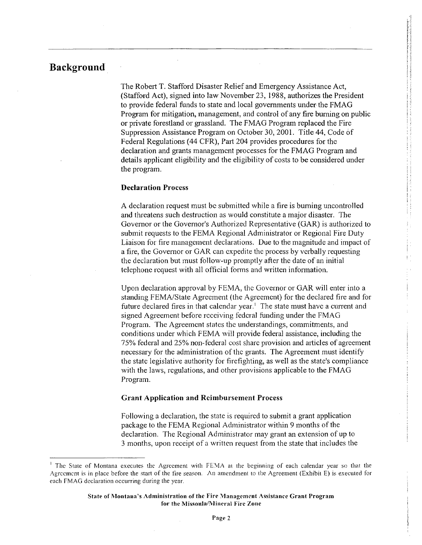# Background f: 1988 and 1988 and 1988 and 1988 and 1988 and 1988 and 1988 and 1988 and 1988 and 1988 and 1988 a

The Robert T. Stafford Disaster Relief and Emergency Assistance Act, (Stafford Act), signed into law November 23, 1988, authorizes the President to provide federal funds to state and local governments under the FMAG Program for mitigation, management, and control of any fire burning on public or private forestland or grassland. The FMAG Program replaced the Fire Suppression Assistance Program on October 30, 2001. Title 44, Code of Federal Regulations (44 CFR), Part 204 provides procedures for the declaration and grants managemcnt processes for the FMAG Program and details applicant eligibility and the eligibility of costs to be considered under the program.

'i ~:i

¡:.1 t..'1 1.1 . ., r.i

 $\mathbf{1}$ 

f:

I.<br>I. I  $\mathbf{r}$  .

#### Declaration Process

A declaration request must be submitted while a fire is burning uncontrolled  $\qquad \qquad$ and threatens such destruction as would constitute a major disaster. The Governor or the Governor's Authorized Representative (GAR) is authorized to submit requests to the FEMA Regional Administrator or Regional Fire Duty Liaison for fire management declarations. Due to the magnitude and impact of a fire, the Governor or GAR can expedite the process by verbally requesting the declaration but must follow-up promptly after the date of an initial telephone request with all official forms and written information.

i:<br>I:<br>I:

Upon declaration approval by FEMA, the Governor or GAR will enter into a standing FEMAlState Agreement (the Agreement) for the declared fire and for future declared fires in that calendar year.<sup>1</sup> The state must have a current and signed Agreement before receiving fedcral funding under the FMAG Program. The Agreement states the understandings, commitments, and conditions under which FEMA will provide federal assistance, including the 75% federal and 25% non-federal cost share provision and articles of agreement necessary for the administration of the grants. The Agreement must identify the state legislative authority for firefighting, as well as the state's compliance with the laws, rcgulations, and other provisions applicable to the FMAG Program.

#### **Grant Application and Reimbursement Process**

Following a declaration, the state is requircd to submit a grant application package to the FEMA Regional Administrator within 9 months of the declaration. The Rcgiona1 Administrator may grant an extension of up to 3 months, upon receipt of a written request from the state that includes the

<sup>&</sup>lt;sup>1</sup> The State of Montana executes the Agreement with FEMA at the beginning of each calendar year so that the Agreement is in place before the start of the fire season. An amendment to the Agreement (Exhibit E) is executed for each FMAG declaration occurring during the year.

State of Montana's Administration of the Fire Management Assistance Grant Program for the Missoula/Mineral Fire Zone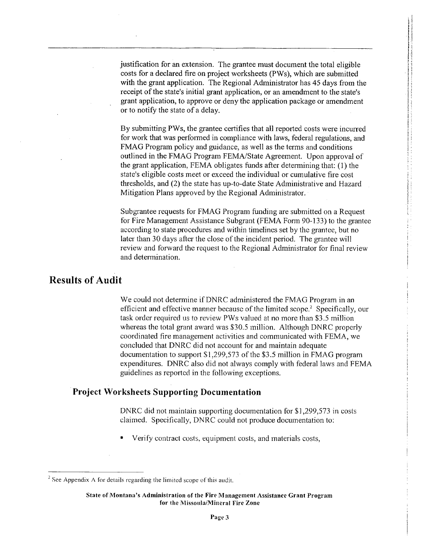justification for an extension. The grantee must document the total eligible costs for a declared fire on project worksheets (PWs), which are submitted with the grant application. The Regional Administrator has 45 days from the receipt of the state's initial grant application, or an amendment to the state's grant application, to approve or deny the application package or amendment or to notify the state of a delay.

By submitting PWs, the grantee certifies that all reported costs were incurred for work that was performed in compliance with laws, federal regulations, and FMAG Program policy and guidance, as well as the terms and conditions outlined in the FMAG Program FEMA/State Agreement. Upon approval of the grant application, FEMA obligates funds after determining that: (1) the state's eligible eosts meet or exceed the individual or cumulative fire cost thresholds, and (2) the state has up-to-date State Administrative and Hazard Mitigation Plans approved by the Regional Administrator.

Subgrantee requests for FMAG Program funding are submitted on a Request for Fire Management Assistance Subgrant (FEMA Form 90-133) to the grantee according to state procedures and within timelines set by the grantee, but no later than 30 days after the close of the incident period. The grantee will review and forward thc request to the Regional Administrator for final review and determination.

### Results of Audit

We could not determine if DNRC administered the FMAG Program in an efficient and effective manner because of the limited scope.<sup>2</sup> Specifically, our task order required us to review PWs valued at no more than \$3.5 million whereas the total grant award was \$30.5 million. Although DNRC properly coordinated fire management activities and communicated with FEMA, we concluded that DNRC did not account for and maintain adequate documentation to support \$1,299,573 of the \$3.5 millon in FMAG program expenditures. DNRC also did not always eomply with federal laws and FEMA guidelines as reported in the following exceptions.

#### Project Worksheets Supporting Documentation

DNRC did not maintain supporting documentation for \$1,299,573 in costs claimed. Specifically, DNRC could not produce documentation to:

. Verify contract costs, equipment costs, and materials costs,

<sup>&</sup>lt;sup>2</sup> See Appendix A for details regarding the limited scope of this audit.

State of Montana's Administration of the Fire Management Assistance Grant Program for the Missoula/Mineral Fire Zone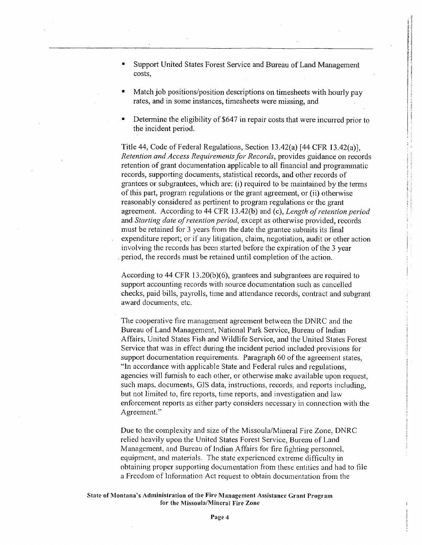- . Support United States Forest Service and Bureau of Land Management costs,
- . Match job positions/position descriptions on timesheets with hourly pay rates, and in some instances, timesheets were missing, and
- Determine the eligibility of \$647 in repair costs that were incurred prior to the incident period.

Title 44, Code of Federal Regulations, Section 13.42(a) (44 CFR 13.42(a)), Retention and Access Requirements for Records, provides guidance on records retention of grant documentation applieable to all finaneial and programmatic reeords, supporting documents, statistical records, and other records of grantees or subgrantees, which are: (i) required to be maintained by the terms of this part, program regulations or the grant agreement, or (ii) otherwise reasonably considered as pertinent to program regulations or the grant agreement. According to 44 CFR 13.42(b) and (c), Length of retention period and Starting date of retention period, except as otherwise provided, records must be retained for 3 years from the date the grantee submits its final expenditure report; or if any litigation, claim, negotiation, audit or other action involving the records has been started before the expiration of the 3 year . period, the records must be retained until completion of the action.

According to 44 CFR 13.20(b)(6), grantees and subgrantees are required to support accounting records with source documentation such as cancelled checks, paid bills, payrolls, time and attendance records, contract and subgrant<br>award documents, etc.

The cooperative fire management agreement between the DNRC and the Bureau of Land Management, National Park Serviee, Bureau of Indian Affairs, United States Fish and Wildlife Service, and the United States Forest Service that was in effect during the incident period included provisions for support documentation requirements. Paragraph 60 of the agreement states, "In accordance with applicable State and Federal rules and regulations, agencies will furnish to each other, or otherwise make available upon request, such maps, documents, GIS data, instructions, records, and reports including, but not limited to, fire reports, time reports, and investigation and law enforcement reports as either party considers necessary in connection with the Agreement. "

Due to the complexity and size of the Missoula/Mineral Fire Zone, DNRC relied heavily upon the United States Forest Service, Bureau of Land Management, and Bureau of Indian Affairs for fire fighting personnel, equipment, and materials. The state experienced extreme difficulty in obtaining proper supporting documentation from these entities and had to file a Freedom of Information Act request to obtain documentation from the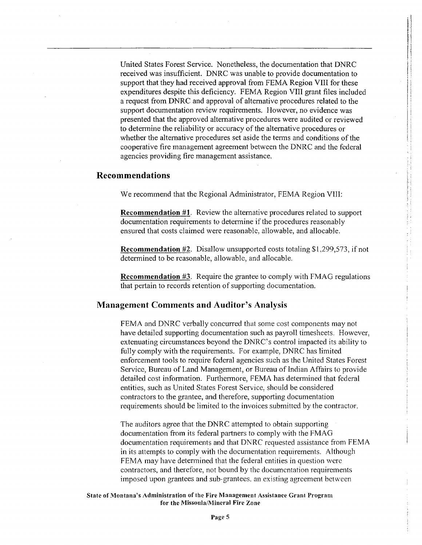United States Forest Service. Nonetheless, the documentation that DNRC received was insufficient. DNRC was unable to provide documentation to support that they had received approval from FEMA Region VIII for these expenditures despite this deficiency. FEMA Region VIII grant files included a request from DNRC and approval of alternative procedures related to the support documentation review requirements. However, no evidence was presented that the approved alternative procedures were audited or reviewed to determine the reliability or accuracy of the alternative procedures or whether the alternative procedures set aside the tenns and conditions of the cooperative fire management agreement between the DNRC and the federal agencies providing fire management assistance.

#### Recommendations

We recommend that the Regional Administrator, FEMA Region VIII:

Recommendation #1. Review the alternative procedures related to support documentation requirements to determine if the procedures reasonably ensured that costs claimed were reasonable, allowable, and allocable.

**Recommendation #2.** Disallow unsupported costs totaling  $$1,299,573$ , if not determined to be reasonable, allowable, and allocable.

Recommendation #3. Require the grantee to comply with FMAG regulations that pertain to records retention of supporting documentation.

#### Management Comments and Auditor's Analysis

FEMA and DNRC verbally concurred that some cost components may not have detailed supporting documentation such as payroll timesheets. However, extenuating circumstances beyond the DNRC's control impacted its ability to fully comply with the requirements. For example, DNRC has limited enforcement tools to require federal agencies such as the United States Forest Service, Bureau of Land Management, or Bureau of Indian Affairs to provide detailed cost information. Furthennore, FEMA has determined that federal entities, such as United States Forest Service, should be considered contractors to the grantee, and therefore, supporting documentation requirements should be limited to the invoices submitted by the contractor.

The auditors agree that the DNRC attempted to obtain supporting documentation from its federal partners to comply with the FMAG documentation requirements and that DNRC requested assistance from FEMA in its attempts to comply with the documentation requirements. Although FEMA may have determined that the federal entities in question were contractors, and therefore, not bound by the documcntation requirements imposed upon grantees and sub-grantees, an existing agreement between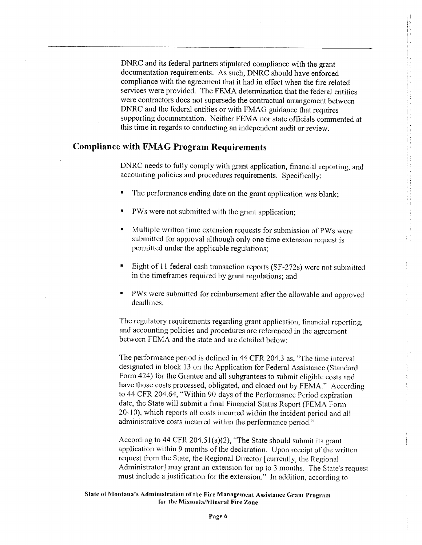DNRC and its federal partners stipulated compliance with the grant documentation requirements. As such, DNRC should have enforced compliance with the agreement that it had in effect when the fire related services were provided. The FEMA determination that the fèderal entities were contractors does not supersede the contractual arrangement between DNRC and the federal entities or with FMAG guidance that requires supporting documentation. Neither FEMA nor state officials commented at this time in regards to conducting an independent audit or review.

### Compliance with FMAG Program Requirements

DNRC needs to fully comply with grant application, financial reporting, and accounting policies and procedures requirements. Specifically:

- The performance ending date on the grant application was blank;
- PWs were not submitted with the grant application;
- Multiple written time extension requests for submission of PWs were submitted for approval although only one time extension request is permitted under the applicable regulations;
- Eight of 11 federal cash transaction reports (SF-272s) were not submitted in the timeframes required by grant regulations; and
- . PWs wcre submitted for reimbursement after the allowable and approved deadlines.

The regulatory requirements regarding grant application, fìnancial reporting, and accounting policies and procedures are referenced in the agreement between FEMA and the state and are detailed below:

The performance period is defined in 44 CFR 204.3 as, "The time interval designated in block 13 on the Application for Federal Assistance (Standard Form 424) for the Grantee and all subgrantees to submit eligiblc costs and have those costs processed, obligated, and closed out by FEMA." According to 44 CFR 204.64, "Within 90-days of the Performance Period expiration date, thc State will submit a fìna1 Financial Status Report (FEMA Form 20- 10), which reports all costs incurred within the incident period and all administrative costs incurred within the performance period."

According to 44 CFR 204.51(a)(2), "The State should submit its grant application within 9 months of the declaration. Upon receipt of the writtcn request from the State, the Regional Director [currently, the Regional Administrator) may grant an extension for up to 3 months. The State's request must include a justification for the extension." In addition, according to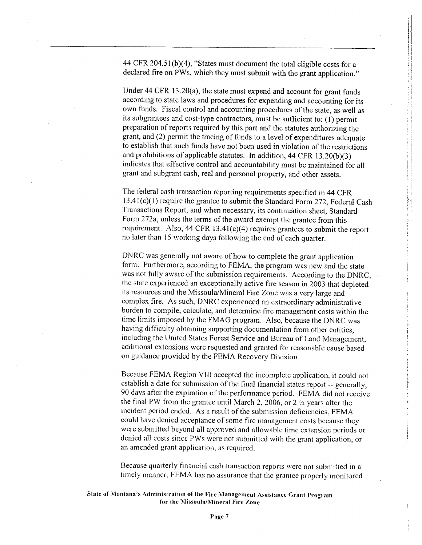44 CFR 204.51(b)(4), "States must document the total eligible costs for a declared fire on PWs, whieh they must submit with the grant application."

Under 44 CFR 13.20 $(a)$ , the state must expend and account for grant funds according to state laws and procedures for expending and accounting for its own funds. Fiscal control and accounting procedures of the state, as well as its subgrantees and cost-type contractors, must be sufficient to: (1) permit preparation of reports required by this part and the statutes authorizing the grant, and (2) permit the tracing of funds to a level of expenditures adequate to establish that such funds have not been used in violation of the restrictions and prohibitions of applicable statutes. In addition,  $44$  CFR  $13.20(b)(3)$ indicates that effective control and aecountability must be maintained for all grant and subgrant cash, real and personal property, and other assets.

The federal cash transaction reporting requirements specified in 44 CFR  $13.41(c)(1)$  require the grantee to submit the Standard Form 272, Federal Cash Transactions Report, and when necessary, its continuation sheet, Standard Form 272a, unless the terms of the award exempt the grantee from this requirement. Also, 44 CFR 13.41(c)(4) requires grantees to submit the report no later than 15 working days following the end of each quarter.

DNRC was generally not aware of how to complete the grant application form. Furthermore, according to FEMA, the program was new and the state was not fully aware of the submission requirements. According to the DNRC, the state experienced an exceptionally active fire season in 2003 that depleted its resources and the Missoula/Mincral Fire Zone was a very large and complcx fire. As such, DNRC experienced an extraordinary administrative burden to compile, calculate, and determine fire management costs within the time limits imposed by the FMAG program. Also, because the DNRC was having difficulty obtaining supporting documentation from other entities, including the United States Forest Service and Bureau of Land Management, additional extensions were requested and granted for reasonable cause based on guidance provided by the FEMA Recovery Division.

Because FEMA Region VII accepted the incomplete application, it could not establish a date for submission of the final financial status report -- generally, 90 days after the expiration of the performance period. FEMA did not receive the final PW from the grantec until March 2, 2006, or 2  $\frac{1}{2}$  years after the incident period ended. As a result of the submission deficiencies, FEMA could have denied acceptance of some fire management costs because they were submitted beyond all approved and allowable time extension periods or denied all costs since PWs were not submitted with the grant application, or an amended grant application, as required.

Because quarterly tìnancial cash transaction reports were not submitted in a timely manner, FEMA has no assurance that the grantee properly monitored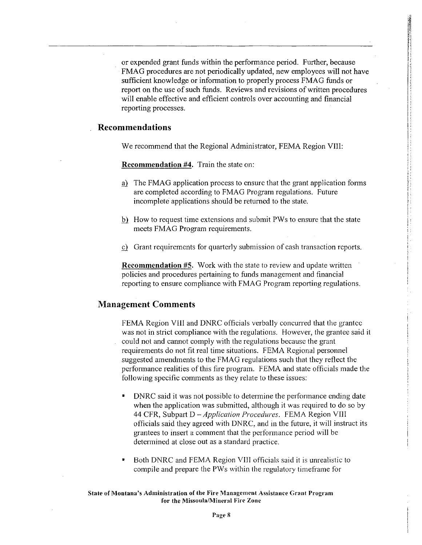or expended grant funds within the performance period. Further, because FMAG procedures are not periodically updated, new employees will not have sufficient knowledge or information to properly process FMAG funds or report on the use of sueh fuds. Reviews and revisions of written procedures will enable effective and efficient controls over accounting and financial reporting processes.

¡~ :.1 ~! ;¡ 1 :1

~ ',i

#### Recommendations

We recommend that the Regional Administrator, FEMA Region VIII:

Recommendation #4. Train the state on:

- .1 The FMAG application process to ensure that the grant application forms are completed aceording to FMAG Program regulations. Future incomplete applications should be returned to the state.
- b) How to request time extensions and submit PWs to ensure that the state meets FMAG Program requirements.
- 9 Grant requirements for quarterly submission of cash transaction reports.

Recommendation #5. Work with the state to review and update written policies and procedures pertaining to funds management and financial reporting to ensure compliance with FMAG Program reporting regulations.

#### Management Comments

FEMA Region VIII and DNRC officials verbally concurred that the grantec was not in strict compliance with the regulations. However, the grantee said it could not and cannot comply with the regulations because the grant requirements do not fit real time situations. FEMA Regional personnel suggested amendments to the FMAG regulations such that they reflect the performance realities of this fire program. FEMA and state officials made the following specific comments as they relate to these issues:

- DNRC said it was not possible to determine the performance ending date when the application was submitted, although it was required to do so by 44 CFR, Subpart D - Application Procedures. FEMA Region VIII officials said they agreed with DNRC, and in the future, it will instruct its grantees to insert a comment that the performance period will be detennined at close out as a standard practice.
- Both DNRC and FEMA Region VIII officials said it is unrealistic to compile and prepare the PWs within the regulatory timeframe for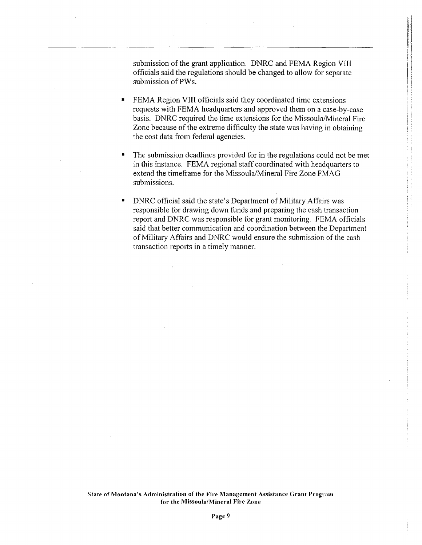submission of the grant application. DNRC and FEMA Region VIII offcials said the regulations should be changed to allow for separate submission ofPWs.

- · FEMA Region VII officials said they coordinated time extensions requests with FEMA headquarters and approved them on a case-by-case basis. DNRC required the time extensions for the Missoula/Mineral Fire Zonc because of the extreme difficulty the state was having in obtaining the cost data from federal agencies.
- The submission deadlines provided for in the regulations could not be met in this instance. FEMA regional staff coordinated with headquarters to extend the timeframe for the Missoula/Mineral Fire Zone FMAG  $\parallel$  $\mathbf{s}$  submissions.

~ :

· DNRC official said the state's Department of Military Affairs was responsible for drawing down funds and preparing the cash transaction report and DNRC was responsible for grant monitoring. FEMA officials said that better communication and coordination between the Department of Military Affairs and DNRC would ensure the submission of the eash transaction reports in a timely manner.

Page 9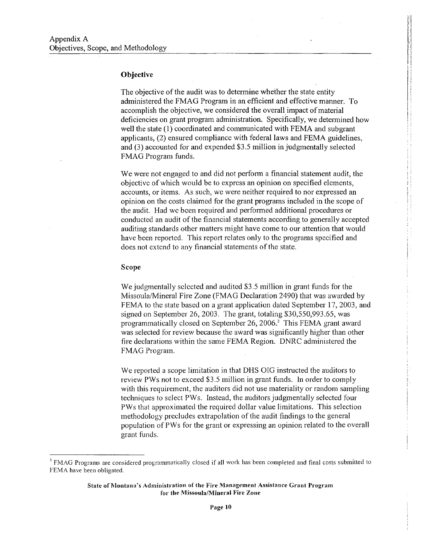### $\bf{Objective}$  . The contract of  $\bf{C}$  is a set of  $\bf{C}$  . If  $\bf{C}$  is a set of  $\bf{C}$

The objective of the audit was to determine whether the state entity administered the FMAG Program in an efficient and effective manner. To accomplish the objective, we considered the overall impact of material deficiencies on grant program administration. Specifically, we determined how well the state (1) coordinated and communicated with FEMA and subgrant applicants, (2) ensured compliancc with federal laws and FEMA guidelines, and (3) accounted for and expended \$3.5 million in judgmentally selected FMAG Program funds.

n.

r! t1'i ~ !

j

 $\mathcal{L} \subset \mathcal{L}$ 

We were not engaged to and did not perform a financial statement audit, the objective of which would be to express an opinion on specified elements, accounts, or items. As such, we were neither required to nor expressed an opinion on the costs claimed for the grant programs included in the scope of the audit. Had we bcen required and performed additional procedures or conducted an audit of the financial statements according to generally accepted auditing standards other matters might have come to our attention that would have been reported. This report relates only to the programs specified and does not cxtcnd to any financial statements of the state.

#### Scope

We judgmentally selected and audited \$3.5 milion in grant funds for the Missoula/Mineral Fire Zone (FMAG Declaration 2490) that was awarded by FEMA to the state based on a grant application dated September 17,2003, and signed on September 26, 2003. The grant, totaling  $$30,550,993.65$ , was programmatically closed on September 26, 2006.<sup>3</sup> This FEMA grant award was selected for review because the award was significantly higher than other fire declarations within the same FEMA Region. DNRC administered the FMAG Program.

We reported a scope limitation in that DHS OIG instructed the auditors to review PWs not to exceed \$3.5 million in grant funds. In order to comply with this requirement, the auditors did not use materiality or random sampling techniques to select PWs. Instead, the auditors judgmentally selected four PWs that approximated the required dollar value limitations. This selection methodology precludes extrapolation of the audit findings to the general population of PWs for the grant or expressing an opinion related to the overall grant funds.

 $<sup>3</sup>$  FMAG Programs are considered programmatically closed if all work has been completed and final costs submitted to</sup> FEMA have been obligated.

State of Montana's Administration of the Fire Management Assistance Grant Program for the Missoula/Mineral Fire Zone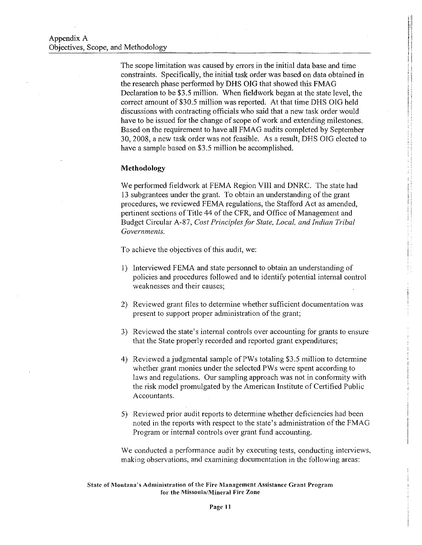The scope limitation was caused by errors in the initial data base and time constraints. Specifically, the initial task order was based on data obtained in the research phase performed by DHS OIG that showed this FMAG Declaration to be \$3.5 milion. When fieldwork began at the state level, the correct amount of\$30.5 milion was reported. At that time DHS oiG held discussions with contracting officials who said that a new task order would ¡ have to be issued for the change of scope of work and extending milestones. Based on the requirement to have all FMAG audits completed by September 30,2008, a new task order was not feasible. As a result, DHS OIG elected to have a sample based on \$3.5 milion be accomplished.

 $\cdot$  $^{\prime\prime}$ 

H

 $; i$  ,

<sup>I</sup>, I

#### **Methodology**

We performed fieldwork at FEMA Region VIII and DNRC. The state had 13 subgrantees under the grant. To obtain an understanding of the grant procedures, we reviewed FEMA regulations, the Stafford Act as amended, pertinent sections of Title 44 of the CFR, and Office of Management and Budget Circular A-87, Cost Principles for State, Local, and Indian Tribal Governments.

To achieve the objectives of this audit, we:

- 1) Interviewed FEMA and state personnel to obtain an understanding of policies and procedures followed and to identify potential internal control weaknesses and their causes;
- 2) Reviewed grant files to detennine whether sufficient documentation was present to support proper administration of the grant;
- 3) Reviewed the state's internal controls over accounting for grants to ensure that the State properly recorded and reported grant expenditures;
- 4) Reviewed a judgmental sample of PWs totaling \$3.5 million to determine whether grant monies under the selected PWs were spent according to laws and regulations. Our sampling approach was not in conformity with the risk model promulgated by the American Institute of Certified Public Accountants.
- 5) Reviewed prior audit reports to detennine whether deficiencies had been noted in the reports with respect to the state's administration of the FMAG Program or intemal controls over grant fund accounting.

We conducted a performance audit by executing tests, conducting interviews, making observations, and examining documentation in the following areas: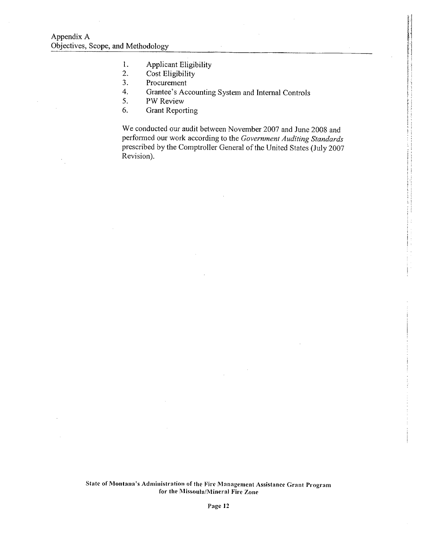- 1. Applicant Eligibility
- 2. Cost Eligibility
- 3. Procurement
- 4. Grantee's Accounting System and Intemal Controls
- 5. PW Review
- 6. Grant Reporting

We conducted our audit between November 2007 and June 2008 and performed our work according to the Government Auditing Standards preseribed by the Comptroller General of the United States (July 2007 Revision).

 $: \cdot$   $\cdot$